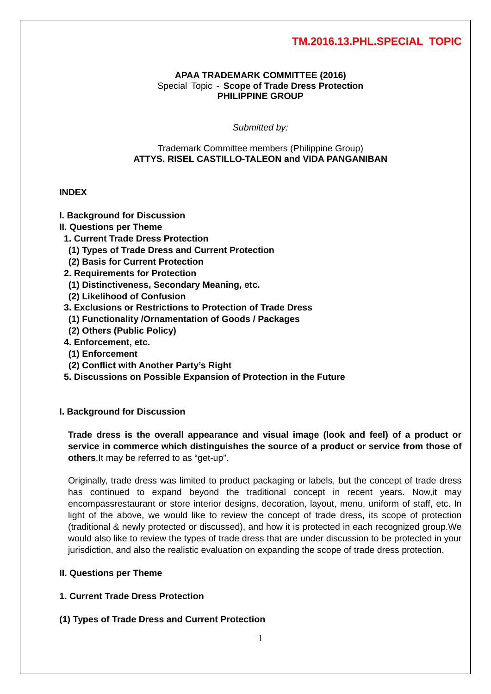#### **APAA TRADEMARK COMMITTEE (2016)** Special Topic - **Scope of Trade Dress Protection PHILIPPINE GROUP**

*Submitted by:*

#### Trademark Committee members (Philippine Group) **ATTYS. RISEL CASTILLO-TALEON and VIDA PANGANIBAN**

#### **INDEX**

#### **I. Background for Discussion**

- **II. Questions per Theme**
- **1. Current Trade Dress Protection**
- **(1) Types of Trade Dress and Current Protection**
- **(2) Basis for Current Protection**
- **2. Requirements for Protection**
- **(1) Distinctiveness, Secondary Meaning, etc.**
- **(2) Likelihood of Confusion**

#### **3. Exclusions or Restrictions to Protection of Trade Dress**

- **(1) Functionality /Ornamentation of Goods / Packages**
- **(2) Others (Public Policy)**
- **4. Enforcement, etc.**
- **(1) Enforcement**
- **(2) Conflict with Another Party's Right**
- **5. Discussions on Possible Expansion of Protection in the Future**

#### **I. Background for Discussion**

**Trade dress is the overall appearance and visual image (look and feel) of a product or service in commerce which distinguishes the source of a product or service from those of others**.It may be referred to as "get-up".

Originally, trade dress was limited to product packaging or labels, but the concept of trade dress has continued to expand beyond the traditional concept in recent years. Now,it may encompassrestaurant or store interior designs, decoration, layout, menu, uniform of staff, etc. In light of the above, we would like to review the concept of trade dress, its scope of protection (traditional & newly protected or discussed), and how it is protected in each recognized group.We would also like to review the types of trade dress that are under discussion to be protected in your jurisdiction, and also the realistic evaluation on expanding the scope of trade dress protection.

#### **II. Questions per Theme**

### **1. Current Trade Dress Protection**

**(1) Types of Trade Dress and Current Protection**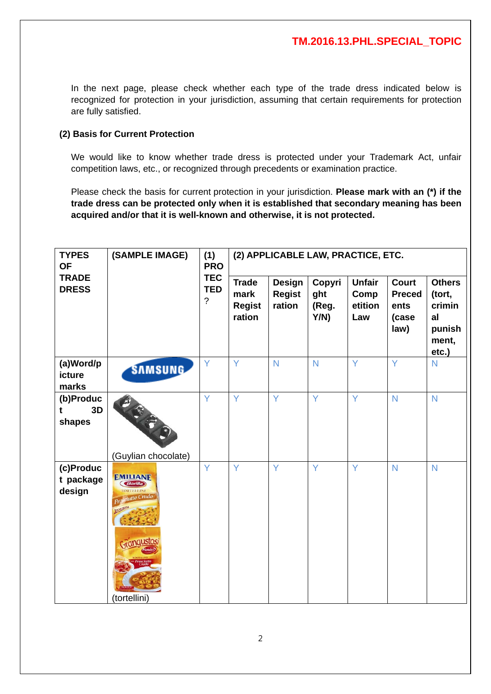In the next page, please check whether each type of the trade dress indicated below is recognized for protection in your jurisdiction, assuming that certain requirements for protection are fully satisfied.

## **(2) Basis for Current Protection**

We would like to know whether trade dress is protected under your Trademark Act, unfair competition laws, etc., or recognized through precedents or examination practice.

Please check the basis for current protection in your jurisdiction. **Please mark with an (\*) if the trade dress can be protected only when it is established that secondary meaning has been acquired and/or that it is well-known and otherwise, it is not protected.**

| <b>TYPES</b><br><b>OF</b>        | (1)<br><b>PRO</b>                                                              | (2) APPLICABLE LAW, PRACTICE, ETC.      |                                                 |                                          |                                |                                         |                                                        |                                                                     |
|----------------------------------|--------------------------------------------------------------------------------|-----------------------------------------|-------------------------------------------------|------------------------------------------|--------------------------------|-----------------------------------------|--------------------------------------------------------|---------------------------------------------------------------------|
| <b>TRADE</b><br><b>DRESS</b>     |                                                                                | <b>TEC</b><br><b>TED</b><br>$\tilde{?}$ | <b>Trade</b><br>mark<br><b>Regist</b><br>ration | <b>Design</b><br><b>Regist</b><br>ration | Copyri<br>ght<br>(Reg.<br>Y/N) | <b>Unfair</b><br>Comp<br>etition<br>Law | <b>Court</b><br><b>Preced</b><br>ents<br>(case<br>law) | <b>Others</b><br>(tort,<br>crimin<br>al<br>punish<br>ment,<br>etc.) |
| (a)Word/p<br>icture<br>marks     | <b>SAMSUNG</b>                                                                 | Ÿ                                       | Y                                               | N                                        | N                              | Ÿ                                       | Ÿ                                                      | N                                                                   |
| (b)Produc<br>3D<br>t<br>shapes   | (Guylian chocolate)                                                            | Ÿ                                       | Ÿ                                               | Y                                        | Y                              | Y                                       | $\overline{N}$                                         | N                                                                   |
| (c)Produc<br>t package<br>design | <b>EMILIANE</b><br><b>Barilla</b><br>CORTELLINE<br>jutto Crudo<br>(tortellini) | Ÿ                                       | Ÿ                                               | Ÿ                                        | Ÿ                              | Y                                       | N                                                      | N                                                                   |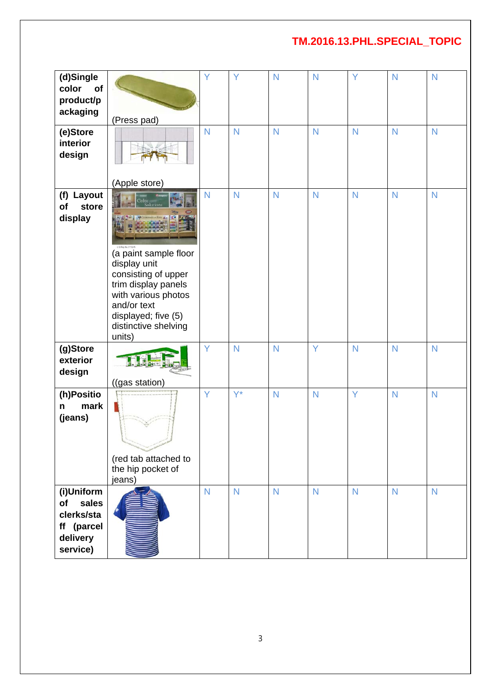| (d)Single<br>color<br>of                                                      |                                                                                                                                                                                                                     | Υ              | Ÿ                       | $\mathsf{N}$            | N            | Y            | N            | N              |
|-------------------------------------------------------------------------------|---------------------------------------------------------------------------------------------------------------------------------------------------------------------------------------------------------------------|----------------|-------------------------|-------------------------|--------------|--------------|--------------|----------------|
| product/p<br>ackaging                                                         | (Press pad)                                                                                                                                                                                                         |                |                         |                         |              |              |              |                |
| (e)Store<br>interior<br>design                                                |                                                                                                                                                                                                                     | $\mathsf{N}$   | $\mathsf{N}$            | N                       | $\mathsf{N}$ | N            | N            | $\mathsf{N}$   |
| (f) Layout<br>of<br>store<br>display                                          | (Apple store)<br><b>Color</b><br>(a paint sample floor<br>display unit<br>consisting of upper<br>trim display panels<br>with various photos<br>and/or text<br>displayed; five (5)<br>distinctive shelving<br>units) | N              | $\overline{\mathsf{N}}$ | N                       | $\mathsf{N}$ | N            | $\mathsf{N}$ | $\mathsf{N}$   |
| (g)Store<br>exterior<br>design                                                | ((gas station)                                                                                                                                                                                                      | Y              | $\mathsf{N}$            | N                       | Ÿ            | N            | $\mathsf{N}$ | $\mathsf{N}$   |
| (h)Positio<br>mark<br>n<br>(jeans)                                            | (red tab attached to<br>the hip pocket of<br>jeans)                                                                                                                                                                 | Y              | $Y^*$                   | $\mathsf{N}$            | $\mathsf{N}$ | Y            | N            | $\mathsf{N}$   |
| (i)Uniform<br>sales<br>of<br>clerks/sta<br>ff (parcel<br>delivery<br>service) |                                                                                                                                                                                                                     | $\overline{N}$ | $\overline{N}$          | $\overline{\mathsf{N}}$ | $\mathsf{N}$ | $\mathsf{N}$ | N            | $\overline{N}$ |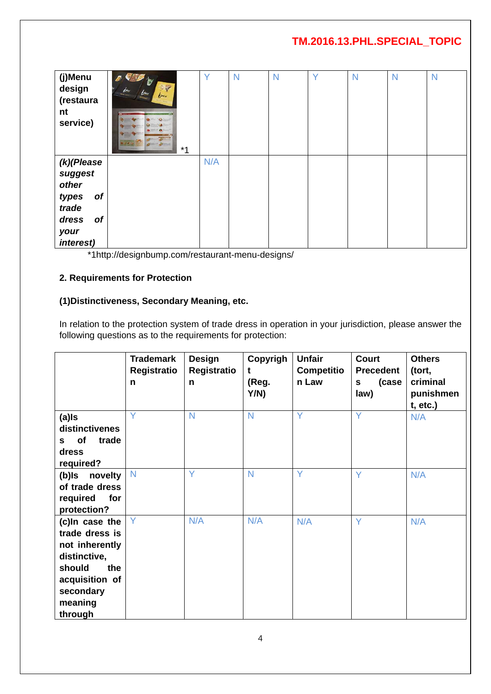| (j)Menu<br>design<br>(restaura<br>nt<br>service)                                                            | <b>CAT</b><br>$\mathbf{z}$<br>$\mathbb{F}$<br>bien<br>$rac{b}{\sqrt{a}}$<br>brev<br>$*1$ | Y   | N | $\mathsf{N}$ | Y | N | N | $\mathsf{N}$ |
|-------------------------------------------------------------------------------------------------------------|------------------------------------------------------------------------------------------|-----|---|--------------|---|---|---|--------------|
| $(k)$ (Please<br>suggest<br>other<br><b>of</b><br>types<br>trade<br>dress<br><b>of</b><br>your<br>interest) |                                                                                          | N/A |   |              |   |   |   |              |

\*1http://designbump.com/restaurant-menu-designs/

### **2. Requirements for Protection**

# **(1)Distinctiveness, Secondary Meaning, etc.**

In relation to the protection system of trade dress in operation in your jurisdiction, please answer the following questions as to the requirements for protection:

|                                                                                                                                          | <b>Trademark</b><br>Registratio<br>n | Design<br>Registratio<br>n | Copyrigh<br>t<br>(Reg.<br>Y/N) | <b>Unfair</b><br>Competitio<br>n Law | <b>Court</b><br><b>Precedent</b><br>(case<br>S<br>law) | <b>Others</b><br>(tort,<br>criminal<br>punishmen<br>$t, etc.$ ) |
|------------------------------------------------------------------------------------------------------------------------------------------|--------------------------------------|----------------------------|--------------------------------|--------------------------------------|--------------------------------------------------------|-----------------------------------------------------------------|
| $(a)$ ls<br>distinctivenes<br>of<br>trade<br>S –<br>dress<br>required?                                                                   | Ÿ                                    | N                          | $\overline{N}$                 | Y                                    | Y                                                      | N/A                                                             |
| novelty<br>(b)ls<br>of trade dress<br>required<br>for<br>protection?                                                                     | $\mathsf{N}$                         | Y                          | $\overline{N}$                 | Y                                    | Ÿ                                                      | N/A                                                             |
| (c)In case the<br>trade dress is<br>not inherently<br>distinctive,<br>should<br>the<br>acquisition of<br>secondary<br>meaning<br>through | Y                                    | N/A                        | N/A                            | N/A                                  | Ÿ                                                      | N/A                                                             |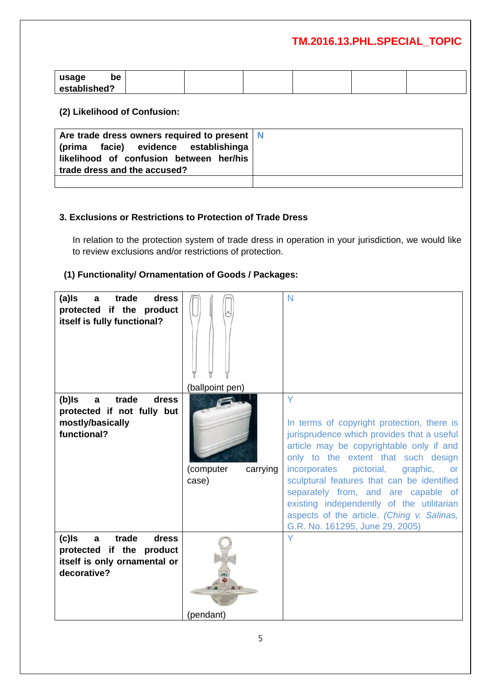| usage<br>be  |  |  |  |
|--------------|--|--|--|
| established? |  |  |  |

#### **(2) Likelihood of Confusion:**

| Are trade dress owners required to present   N<br>(prima facie) evidence establishinga<br>likelihood of confusion between her/his<br>trade dress and the accused? |  |
|-------------------------------------------------------------------------------------------------------------------------------------------------------------------|--|
|                                                                                                                                                                   |  |

### **3. Exclusions or Restrictions to Protection of Trade Dress**

In relation to the protection system of trade dress in operation in your jurisdiction, we would like to review exclusions and/or restrictions of protection.

## **(1) Functionality/ Ornamentation of Goods / Packages:**

| (a)Is<br>trade<br>dress<br>$\mathbf{a}$<br>protected if the product<br>itself is fully functional?        | (ballpoint pen)                | N                                                                                                                                                                                                                                                                                                                                                                                                                                                       |
|-----------------------------------------------------------------------------------------------------------|--------------------------------|---------------------------------------------------------------------------------------------------------------------------------------------------------------------------------------------------------------------------------------------------------------------------------------------------------------------------------------------------------------------------------------------------------------------------------------------------------|
| trade<br>(b)ls<br>dress<br>a<br>protected if not fully but<br>mostly/basically<br>functional?             | (computer<br>carrying<br>case) | Y<br>In terms of copyright protection, there is<br>jurisprudence which provides that a useful<br>article may be copyrightable only if and<br>only to the extent that such design<br>incorporates pictorial,<br>graphic,<br><b>or</b><br>sculptural features that can be identified<br>separately from, and are capable of<br>existing independently of the utilitarian<br>aspects of the article. (Ching v. Salinas,<br>G.R. No. 161295, June 29, 2005) |
| $(c)$ s<br>trade<br>dress<br>a<br>protected if the product<br>itself is only ornamental or<br>decorative? | (pendant)                      | Y                                                                                                                                                                                                                                                                                                                                                                                                                                                       |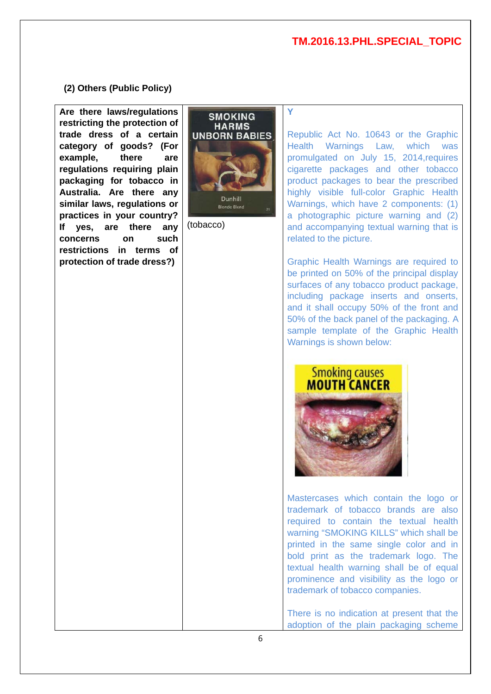#### **(2) Others (Public Policy)**

**Are there laws/regulations restricting the protection of trade dress of a certain category of goods? (For example, there are regulations requiring plain packaging for tobacco in Australia. Are there any similar laws, regulations or practices in your country? If yes, are there any concerns on such restrictions in terms of protection of trade dress?)**



**Y**

(tobacco)

Republic Act No. 10643 or the Graphic Health Warnings Law, which was promulgated on July 15, 2014,requires cigarette packages and other tobacco product packages to bear the prescribed highly visible full-color Graphic Health Warnings, which have 2 components: (1) a photographic picture warning and (2) and accompanying textual warning that is related to the picture.

Graphic Health Warnings are required to be printed on 50% of the principal display surfaces of any tobacco product package, including package inserts and onserts, and it shall occupy 50% of the front and 50% of the back panel of the packaging. A sample template of the Graphic Health Warnings is shown below:



Mastercases which contain the logo or trademark of tobacco brands are also required to contain the textual health warning "SMOKING KILLS" which shall be printed in the same single color and in bold print as the trademark logo. The textual health warning shall be of equal prominence and visibility as the logo or trademark of tobacco companies.

There is no indication at present that the adoption of the plain packaging scheme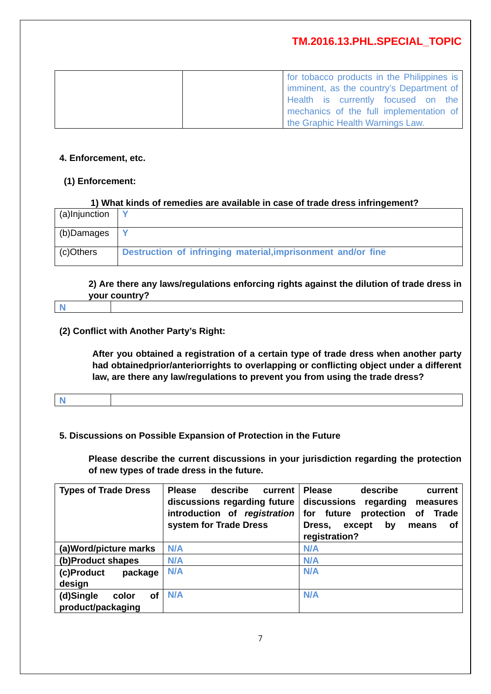| for tobacco products in the Philippines is |
|--------------------------------------------|
| imminent, as the country's Department of   |
| Health is currently focused on the         |
| mechanics of the full implementation of    |
| the Graphic Health Warnings Law.           |

#### **4. Enforcement, etc.**

#### **(1) Enforcement:**

#### **1) What kinds of remedies are available in case of trade dress infringement?**

| C)Others       | Destruction of infringing material, imprisonment and/or fine |
|----------------|--------------------------------------------------------------|
| $ $ (b)Damages |                                                              |
| (a)Injunction  |                                                              |

**2) Are there any laws/regulations enforcing rights against the dilution of trade dress in your country?**

# **N**

### **(2) Conflict with Another Party's Right:**

**After you obtained a registration of a certain type of trade dress when another party had obtainedprior/anteriorrights to overlapping or conflicting object under a different law, are there any law/regulations to prevent you from using the trade dress?**

### **5. Discussions on Possible Expansion of Protection in the Future**

**Please describe the current discussions in your jurisdiction regarding the protection of new types of trade dress in the future.**

| <b>Types of Trade Dress</b>                   | describe<br><b>Please</b><br>current<br>discussions regarding future<br>introduction of registration<br>system for Trade Dress | <b>Please</b><br>describe<br>current<br>discussions<br>regarding<br>measures<br>for future protection<br><b>of</b><br>Trade<br>Dress,<br>except<br>by<br>means<br>0f<br>registration? |
|-----------------------------------------------|--------------------------------------------------------------------------------------------------------------------------------|---------------------------------------------------------------------------------------------------------------------------------------------------------------------------------------|
| (a)Word/picture marks                         | <b>N/A</b>                                                                                                                     | N/A                                                                                                                                                                                   |
| (b)Product shapes                             | <b>N/A</b>                                                                                                                     | N/A                                                                                                                                                                                   |
| (c)Product<br>package<br>design               | <b>N/A</b>                                                                                                                     | <b>N/A</b>                                                                                                                                                                            |
| (d)Single<br>of<br>color<br>product/packaging | N/A                                                                                                                            | <b>N/A</b>                                                                                                                                                                            |